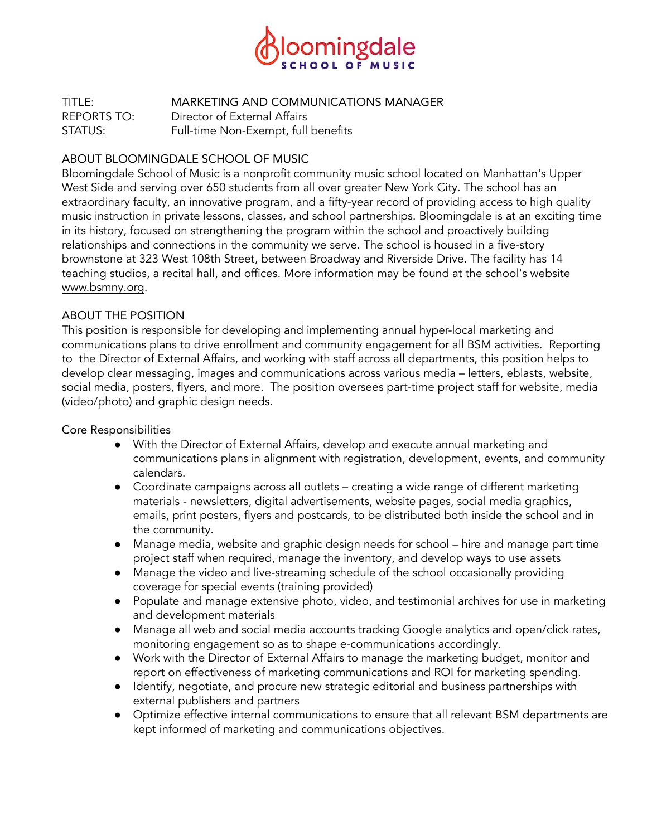

TITLE: MARKETING AND COMMUNICATIONS MANAGER REPORTS TO: Director of External Affairs STATUS: Full-time Non-Exempt, full benefits

#### ABOUT BLOOMINGDALE SCHOOL OF MUSIC

Bloomingdale School of Music is a nonprofit community music school located on Manhattan's Upper West Side and serving over 650 students from all over greater New York City. The school has an extraordinary faculty, an innovative program, and a fifty-year record of providing access to high quality music instruction in private lessons, classes, and school partnerships. Bloomingdale is at an exciting time in its history, focused on strengthening the program within the school and proactively building relationships and connections in the community we serve. The school is housed in a five-story brownstone at 323 West 108th Street, between Broadway and Riverside Drive. The facility has 14 teaching studios, a recital hall, and offices. More information may be found at the school's website [www.bsmny.org.](http://www.bsmny.org/)

#### ABOUT THE POSITION

This position is responsible for developing and implementing annual hyper-local marketing and communications plans to drive enrollment and community engagement for all BSM activities. Reporting to the Director of External Affairs, and working with staff across all departments, this position helps to develop clear messaging, images and communications across various media – letters, eblasts, website, social media, posters, flyers, and more. The position oversees part-time project staff for website, media (video/photo) and graphic design needs.

Core Responsibilities

- With the Director of External Affairs, develop and execute annual marketing and communications plans in alignment with registration, development, events, and community calendars.
- Coordinate campaigns across all outlets creating a wide range of different marketing materials - newsletters, digital advertisements, website pages, social media graphics, emails, print posters, flyers and postcards, to be distributed both inside the school and in the community.
- Manage media, website and graphic design needs for school hire and manage part time project staff when required, manage the inventory, and develop ways to use assets
- Manage the video and live-streaming schedule of the school occasionally providing coverage for special events (training provided)
- Populate and manage extensive photo, video, and testimonial archives for use in marketing and development materials
- Manage all web and social media accounts tracking Google analytics and open/click rates, monitoring engagement so as to shape e-communications accordingly.
- Work with the Director of External Affairs to manage the marketing budget, monitor and report on effectiveness of marketing communications and ROI for marketing spending.
- Identify, negotiate, and procure new strategic editorial and business partnerships with external publishers and partners
- Optimize effective internal communications to ensure that all relevant BSM departments are kept informed of marketing and communications objectives.